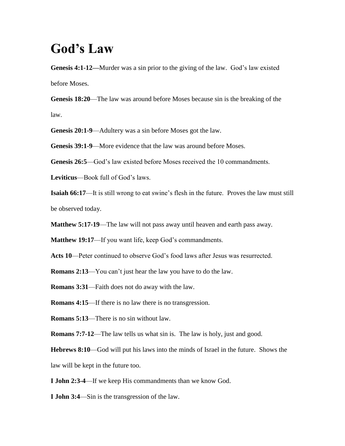## **God's Law**

**Genesis 4:1-12—**Murder was a sin prior to the giving of the law. God's law existed before Moses.

**Genesis 18:20**—The law was around before Moses because sin is the breaking of the law.

**Genesis 20:1-9**—Adultery was a sin before Moses got the law.

**Genesis 39:1-9**—More evidence that the law was around before Moses.

**Genesis 26:5**—God's law existed before Moses received the 10 commandments.

**Leviticus**—Book full of God's laws.

**Isaiah 66:17**—It is still wrong to eat swine's flesh in the future. Proves the law must still be observed today.

**Matthew 5:17-19**—The law will not pass away until heaven and earth pass away.

**Matthew 19:17—If you want life, keep God's commandments.** 

**Acts 10**—Peter continued to observe God's food laws after Jesus was resurrected.

**Romans 2:13**—You can't just hear the law you have to do the law.

**Romans 3:31**—Faith does not do away with the law.

**Romans 4:15—If there is no law there is no transgression.** 

**Romans 5:13**—There is no sin without law.

**Romans 7:7-12—The law tells us what sin is. The law is holy, just and good.** 

**Hebrews 8:10**—God will put his laws into the minds of Israel in the future. Shows the law will be kept in the future too.

**I John 2:3-4**—If we keep His commandments than we know God.

**I John 3:4**—Sin is the transgression of the law.